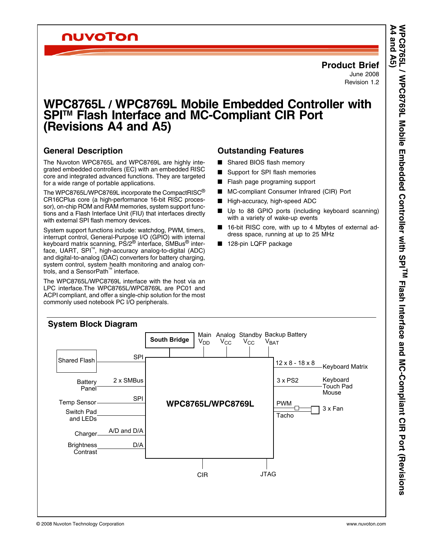## nuvoTon

## **Product Brief**

June 2008 Revision 1.2

# <span id="page-0-0"></span>**WPC8765L / WPC8769L Mobile Embedded Controller with**  SPI<sup>™</sup> Flash Interface and MC-Compliant CIR Port (Revisions A4 and A5)

## **General Description**

The Nuvoton WPC8765L and WPC8769L are highly integrated embedded controllers (EC) with an embedded RISC core and integrated advanced functions. They are targeted for a wide range of portable applications.

The WPC8765L/WPC8769L incorporate the CompactRISC® CR16CPlus core (a high-performance 16-bit RISC processor), on-chip ROM and RAM memories, system support functions and a Flash Interface Unit (FIU) that interfaces directly with external SPI flash memory devices.

System support functions include: watchdog, PWM, timers, interrupt control, General-Purpose I/O (GPIO) with internal keyboard matrix scanning, PS/2<sup>®</sup> interface, SMBus<sup>®</sup> interface, UART, SPI™, high-accuracy analog-to-digital (ADC) and digital-to-analog (DAC) converters for battery charging, system control, system health monitoring and analog controls, and a SensorPath™ interface.

The WPC8765L/WPC8769L interface with the host via an LPC interface.The WPC8765L/WPC8769L are PC01 and ACPI compliant, and offer a single-chip solution for the most commonly used notebook PC I/O peripherals.

## **Outstanding Features**

- Shared BIOS flash memorv
- Support for SPI flash memories
- Flash page programing support
- MC-compliant Consumer Infrared (CIR) Port
- High-accuracy, high-speed ADC
- Up to 88 GPIO ports (including keyboard scanning) with a variety of wake-up events
- 16-bit RISC core, with up to 4 Mbytes of external address space, running at up to 25 MHz
- 128-pin LQFP package

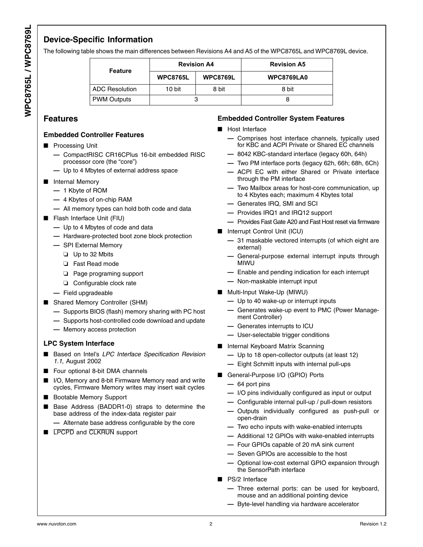## **Device-Specific Information**

The following table shows the main differences between Revisions A4 and A5 of the WPC8765L and WPC8769L device.

| <b>Feature</b>        | <b>Revision A4</b> |                 | <b>Revision A5</b> |
|-----------------------|--------------------|-----------------|--------------------|
|                       | <b>WPC8765L</b>    | <b>WPC8769L</b> | <b>WPC8769LA0</b>  |
| <b>ADC Resolution</b> | 10 bit             | 8 bit           | 8 bit              |
| <b>PWM Outputs</b>    |                    |                 |                    |

## **Features**

#### **Embedded Controller Features**

- Processing Unit
	- **—** CompactRISC CR16CPlus 16-bit embedded RISC processor core (the "core")
	- **—** Up to 4 Mbytes of external address space
- Internal Memory
	- **—** 1 Kbyte of ROM
	- **—** 4 Kbytes of on-chip RAM
	- **—** All memory types can hold both code and data
- Flash Interface Unit (FIU)
	- **—** Up to 4 Mbytes of code and data
	- **—** Hardware-protected boot zone block protection
	- **—** SPI External Memory
		- ❏ Up to 32 Mbits
		- ❏ Fast Read mode
		- ❏ Page programing support
		- ❏ Configurable clock rate
	- **—** Field upgradeable
- Shared Memory Controller (SHM)
	- **—** Supports BIOS (flash) memory sharing with PC host
	- **—** Supports host-controlled code download and update
	- **—** Memory access protection

#### **LPC System Interface**

- Based on Intel's *LPC Interface Specification Revision 1.1*, August 2002
- Four optional 8-bit DMA channels
- I/O, Memory and 8-bit Firmware Memory read and write cycles, Firmware Memory writes may insert wait cycles
- Bootable Memory Support
- Base Address (BADDR1-0) straps to determine the base address of the index-data register pair
	- **—** Alternate base address configurable by the core
- LPCPD and CLKRUN support

#### **Embedded Controller System Features**

- Host Interface
	- **—** Comprises host interface channels, typically used for KBC and ACPI Private or Shared EC channels
	- **—** 8042 KBC-standard interface (legacy 60h, 64h)
	- **—** Two PM interface ports (legacy 62h, 66h; 68h, 6Ch)
	- **—** ACPI EC with either Shared or Private interface through the PM interface
	- **—** Two Mailbox areas for host-core communication, up to 4 Kbytes each; maximum 4 Kbytes total
	- **—** Generates IRQ, SMI and SCI
	- **—** Provides IRQ1 and IRQ12 support
	- **—** Provides Fast Gate A20 and Fast Host reset via firmware
- Interrupt Control Unit (ICU)
	- **—** 31 maskable vectored interrupts (of which eight are external)
	- **—** General-purpose external interrupt inputs through MIWU
	- **—** Enable and pending indication for each interrupt
	- **—** Non-maskable interrupt input
- Multi-Input Wake-Up (MIWU)
	- **—** Up to 40 wake-up or interrupt inputs
	- **—** Generates wake-up event to PMC (Power Management Controller)
	- **—** Generates interrupts to ICU
	- **—** User-selectable trigger conditions
- Internal Keyboard Matrix Scanning
	- **—** Up to 18 open-collector outputs (at least 12)
	- **—** Eight Schmitt inputs with internal pull-ups
- General-Purpose I/O (GPIO) Ports
	- **—** 64 port pins
	- **—** I/O pins individually configured as input or output
	- **—** Configurable internal pull-up / pull-down resistors
	- **—** Outputs individually configured as push-pull or open-drain
	- **—** Two echo inputs with wake-enabled interrupts
	- **—** Additional 12 GPIOs with wake-enabled interrupts
	- **—** Four GPIOs capable of 20 mA sink current
	- **—** Seven GPIOs are accessible to the host
	- **—** Optional low-cost external GPIO expansion through the SensorPath interface
- PS/2 Interface
	- **—** Three external ports: can be used for keyboard, mouse and an additional pointing device
	- **—** Byte-level handling via hardware accelerator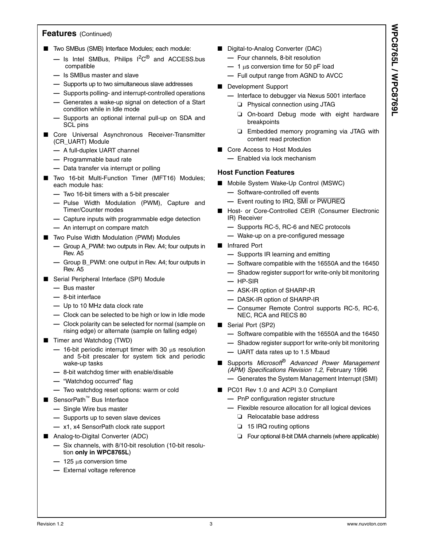### **Features** (Continued)

- Two SMBus (SMB) Interface Modules; each module:
	- **—** Is Intel SMBus, Philips I2C® and ACCESS.bus compatible
	- **—** Is SMBus master and slave
	- **—** Supports up to two simultaneous slave addresses
	- **—** Supports polling- and interrupt-controlled operations
	- **—** Generates a wake-up signal on detection of a Start condition while in Idle mode
	- **—** Supports an optional internal pull-up on SDA and SCL pins
- Core Universal Asynchronous Receiver-Transmitter (CR\_UART) Module
	- **—** A full-duplex UART channel
	- **—** Programmable baud rate
	- **—** Data transfer via interrupt or polling
- Two 16-bit Multi-Function Timer (MFT16) Modules; each module has:
	- **—** Two 16-bit timers with a 5-bit prescaler
	- **—** Pulse Width Modulation (PWM), Capture and Timer/Counter modes
	- **—** Capture inputs with programmable edge detection **—** An interrupt on compare match
- Two Pulse Width Modulation (PWM) Modules
	- **—** Group A\_PWM: two outputs in Rev. A4; four outputs in Rev. A5
	- **—** Group B\_PWM: one output in Rev. A4; four outputs in Rev. A5
- Serial Peripheral Interface (SPI) Module
	- **—** Bus master
	- **—** 8-bit interface
	- **—** Up to 10 MHz data clock rate
	- **—** Clock can be selected to be high or low in Idle mode
	- **—** Clock polarity can be selected for normal (sample on rising edge) or alternate (sample on falling edge)
- Timer and Watchdog (TWD)
	- **—** 16-bit periodic interrupt timer with 30 µs resolution and 5-bit prescaler for system tick and periodic wake-up tasks
	- **—** 8-bit watchdog timer with enable/disable
	- **—** "Watchdog occurred" flag
	- **—** Two watchdog reset options: warm or cold
- SensorPath<sup>™</sup> Bus Interface
	- **—** Single Wire bus master
	- **—** Supports up to seven slave devices
	- **—** x1, x4 SensorPath clock rate support
- Analog-to-Digital Converter (ADC)
	- **—** Six channels, with 8/10-bit resolution (10-bit resolution **only in WPC8765L**)
	- **—** 125 µs conversion time
	- **—** External voltage reference
- Digital-to-Analog Converter (DAC)
	- **—** Four channels, 8-bit resolution
	- **—** 1 µs conversion time for 50 pF load
	- **—** Full output range from AGND to AVCC
- Development Support
	- **—** Interface to debugger via Nexus 5001 interface
		- ❏ Physical connection using JTAG
		- ❏ On-board Debug mode with eight hardware breakpoints
		- ❏ Embedded memory programing via JTAG with content read protection
- Core Access to Host Modules
	- **—** Enabled via lock mechanism

#### **Host Function Features**

- Mobile System Wake-Up Control (MSWC)
	- **—** Software-controlled off events
	- **—** Event routing to IRQ, SMI or PWUREQ
- Host- or Core-Controlled CEIR (Consumer Electronic IR) Receiver
	- **—** Supports RC-5, RC-6 and NEC protocols
	- **—** Wake-up on a pre-configured message
- Infrared Port
	- **—** Supports IR learning and emitting
	- **—** Software compatible with the 16550A and the 16450
	- **—** Shadow register support for write-only bit monitoring
	- **—** HP-SIR
	- **—** ASK-IR option of SHARP-IR
	- **—** DASK-IR option of SHARP-IR
	- **—** Consumer Remote Control supports RC-5, RC-6, NEC, RCA and RECS 80
- Serial Port (SP2)
	- **—** Software compatible with the 16550A and the 16450
	- **—** Shadow register support for write-only bit monitoring
	- **—** UART data rates up to 1.5 Mbaud
- Supports *Microsoft*® *Advanced Power Management (APM) Specifications Revision 1.2*, February 1996
	- **—** Generates the System Management Interrupt (SMI)
- PC01 Rev 1.0 and ACPI 3.0 Compliant
	- **—** PnP configuration register structure
	- **—** Flexible resource allocation for all logical devices
		- ❏ Relocatable base address
		- ❏ 15 IRQ routing options
		- ❏ Four optional 8-bit DMA channels (where applicable)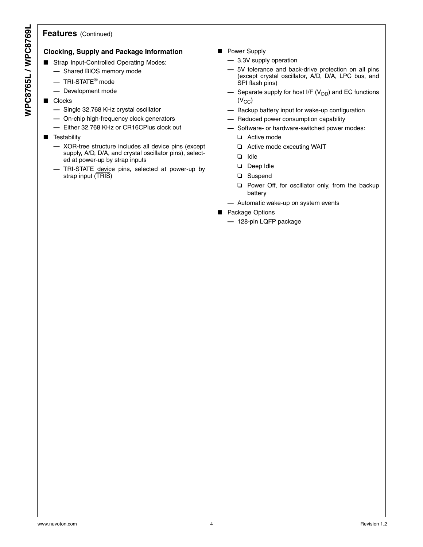#### **Features** (Continued)

#### **Clocking, Supply and Package Information**

- Strap Input-Controlled Operating Modes:
	- **—** Shared BIOS memory mode
	- **—** TRI-STATE® mode
	- **—** Development mode
- Clocks
	- **—** Single 32.768 KHz crystal oscillator
	- **—** On-chip high-frequency clock generators
	- **—** Either 32.768 KHz or CR16CPlus clock out
- Testability
	- **—** XOR-tree structure includes all device pins (except supply, A/D, D/A, and crystal oscillator pins), selected at power-up by strap inputs
	- **—** TRI-STATE device pins, selected at power-up by strap input (TRIS)
- Power Supply
	- **—** 3.3V supply operation
	- **—** 5V tolerance and back-drive protection on all pins (except crystal oscillator, A/D, D/A, LPC bus, and SPI flash pins)
	- **—** Separate supply for host I/F (V<sub>DD</sub>) and EC functions  $(V_{CC})$
	- **—** Backup battery input for wake-up configuration
	- **—** Reduced power consumption capability
	- **—** Software- or hardware-switched power modes:
		- ❏ Active mode
		- ❏ Active mode executing WAIT
		- ❏ Idle
		- ❏ Deep Idle
		- ❏ Suspend
		- ❏ Power Off, for oscillator only, from the backup battery
	- **—** Automatic wake-up on system events
- Package Options
	- **—** 128-pin LQFP package